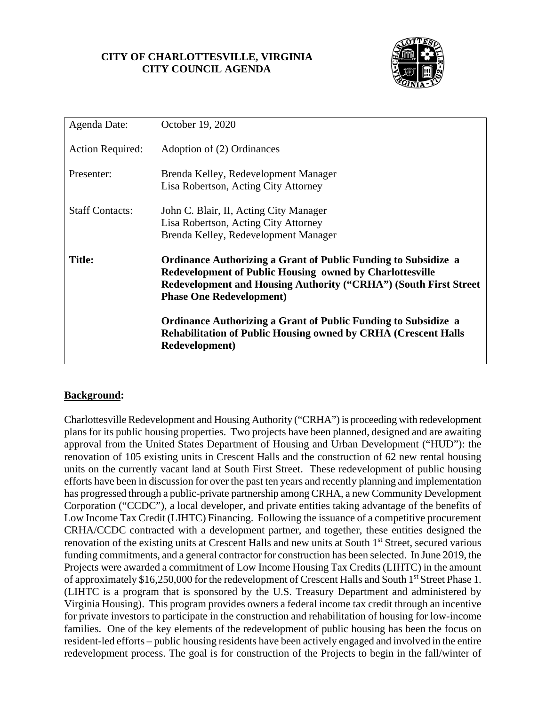### **CITY OF CHARLOTTESVILLE, VIRGINIA CITY COUNCIL AGENDA**



| Agenda Date:            | October 19, 2020                                                                                                                                                                                                                                |
|-------------------------|-------------------------------------------------------------------------------------------------------------------------------------------------------------------------------------------------------------------------------------------------|
| <b>Action Required:</b> | Adoption of (2) Ordinances                                                                                                                                                                                                                      |
| Presenter:              | Brenda Kelley, Redevelopment Manager<br>Lisa Robertson, Acting City Attorney                                                                                                                                                                    |
| <b>Staff Contacts:</b>  | John C. Blair, II, Acting City Manager<br>Lisa Robertson, Acting City Attorney<br>Brenda Kelley, Redevelopment Manager                                                                                                                          |
| <b>Title:</b>           | <b>Ordinance Authorizing a Grant of Public Funding to Subsidize a</b><br><b>Redevelopment of Public Housing owned by Charlottesville</b><br>Redevelopment and Housing Authority ("CRHA") (South First Street<br><b>Phase One Redevelopment)</b> |
|                         | <b>Ordinance Authorizing a Grant of Public Funding to Subsidize a</b><br><b>Rehabilitation of Public Housing owned by CRHA (Crescent Halls</b><br>Redevelopment)                                                                                |

### **Background:**

Charlottesville Redevelopment and Housing Authority ("CRHA") is proceeding with redevelopment plans for its public housing properties. Two projects have been planned, designed and are awaiting approval from the United States Department of Housing and Urban Development ("HUD"): the renovation of 105 existing units in Crescent Halls and the construction of 62 new rental housing units on the currently vacant land at South First Street. These redevelopment of public housing efforts have been in discussion for over the past ten years and recently planning and implementation has progressed through a public-private partnership among CRHA, a new Community Development Corporation ("CCDC"), a local developer, and private entities taking advantage of the benefits of Low Income Tax Credit (LIHTC) Financing. Following the issuance of a competitive procurement CRHA/CCDC contracted with a development partner, and together, these entities designed the renovation of the existing units at Crescent Halls and new units at South 1<sup>st</sup> Street, secured various funding commitments, and a general contractor for construction has been selected. In June 2019, the Projects were awarded a commitment of Low Income Housing Tax Credits (LIHTC) in the amount of approximately \$16,250,000 for the redevelopment of Crescent Halls and South 1st Street Phase 1. (LIHTC is a program that is sponsored by the U.S. Treasury Department and administered by Virginia Housing). This program provides owners a federal income tax credit through an incentive for private investors to participate in the construction and rehabilitation of housing for low-income families. One of the key elements of the redevelopment of public housing has been the focus on resident-led efforts – public housing residents have been actively engaged and involved in the entire redevelopment process. The goal is for construction of the Projects to begin in the fall/winter of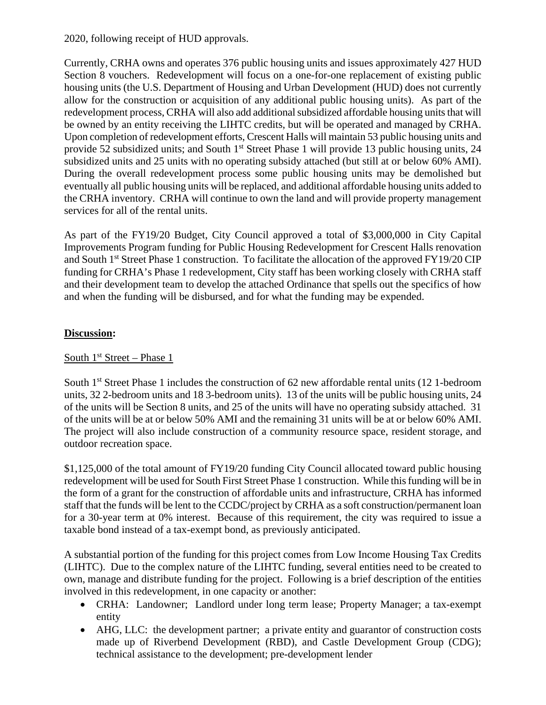#### 2020, following receipt of HUD approvals.

Currently, CRHA owns and operates 376 public housing units and issues approximately 427 HUD Section 8 vouchers. Redevelopment will focus on a one-for-one replacement of existing public housing units (the U.S. Department of Housing and Urban Development (HUD) does not currently allow for the construction or acquisition of any additional public housing units). As part of the redevelopment process, CRHA will also add additional subsidized affordable housing units that will be owned by an entity receiving the LIHTC credits, but will be operated and managed by CRHA. Upon completion of redevelopment efforts, Crescent Halls will maintain 53 public housing units and provide 52 subsidized units; and South 1<sup>st</sup> Street Phase 1 will provide 13 public housing units, 24 subsidized units and 25 units with no operating subsidy attached (but still at or below 60% AMI). During the overall redevelopment process some public housing units may be demolished but eventually all public housing units will be replaced, and additional affordable housing units added to the CRHA inventory. CRHA will continue to own the land and will provide property management services for all of the rental units.

As part of the FY19/20 Budget, City Council approved a total of \$3,000,000 in City Capital Improvements Program funding for Public Housing Redevelopment for Crescent Halls renovation and South 1<sup>st</sup> Street Phase 1 construction. To facilitate the allocation of the approved FY19/20 CIP funding for CRHA's Phase 1 redevelopment, City staff has been working closely with CRHA staff and their development team to develop the attached Ordinance that spells out the specifics of how and when the funding will be disbursed, and for what the funding may be expended.

### **Discussion:**

### South  $1<sup>st</sup>$  Street – Phase 1

South 1<sup>st</sup> Street Phase 1 includes the construction of 62 new affordable rental units (12 1-bedroom units, 32 2-bedroom units and 18 3-bedroom units). 13 of the units will be public housing units, 24 of the units will be Section 8 units, and 25 of the units will have no operating subsidy attached. 31 of the units will be at or below 50% AMI and the remaining 31 units will be at or below 60% AMI. The project will also include construction of a community resource space, resident storage, and outdoor recreation space.

\$1,125,000 of the total amount of FY19/20 funding City Council allocated toward public housing redevelopment will be used for South First Street Phase 1 construction. While this funding will be in the form of a grant for the construction of affordable units and infrastructure, CRHA has informed staff that the funds will be lent to the CCDC/project by CRHA as a soft construction/permanent loan for a 30-year term at 0% interest. Because of this requirement, the city was required to issue a taxable bond instead of a tax-exempt bond, as previously anticipated.

A substantial portion of the funding for this project comes from Low Income Housing Tax Credits (LIHTC). Due to the complex nature of the LIHTC funding, several entities need to be created to own, manage and distribute funding for the project. Following is a brief description of the entities involved in this redevelopment, in one capacity or another:

- CRHA: Landowner; Landlord under long term lease; Property Manager; a tax-exempt entity
- AHG, LLC: the development partner; a private entity and guarantor of construction costs made up of Riverbend Development (RBD), and Castle Development Group (CDG); technical assistance to the development; pre-development lender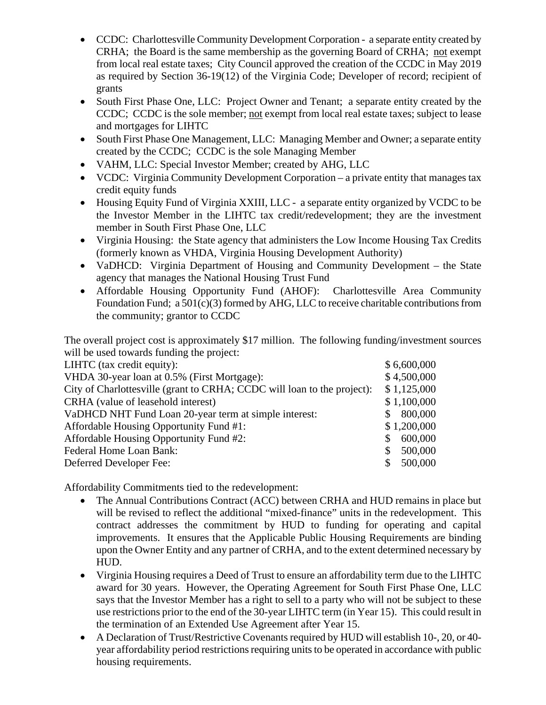- CCDC: Charlottesville Community Development Corporation a separate entity created by CRHA; the Board is the same membership as the governing Board of CRHA; not exempt from local real estate taxes; City Council approved the creation of the CCDC in May 2019 as required by Section 36-19(12) of the Virginia Code; Developer of record; recipient of grants
- South First Phase One, LLC: Project Owner and Tenant; a separate entity created by the CCDC; CCDC is the sole member; not exempt from local real estate taxes; subject to lease and mortgages for LIHTC
- South First Phase One Management, LLC: Managing Member and Owner; a separate entity created by the CCDC; CCDC is the sole Managing Member
- VAHM, LLC: Special Investor Member; created by AHG, LLC
- VCDC: Virginia Community Development Corporation a private entity that manages tax credit equity funds
- Housing Equity Fund of Virginia XXIII, LLC a separate entity organized by VCDC to be the Investor Member in the LIHTC tax credit/redevelopment; they are the investment member in South First Phase One, LLC
- Virginia Housing: the State agency that administers the Low Income Housing Tax Credits (formerly known as VHDA, Virginia Housing Development Authority)
- VaDHCD: Virginia Department of Housing and Community Development the State agency that manages the National Housing Trust Fund
- Affordable Housing Opportunity Fund (AHOF): Charlottesville Area Community Foundation Fund; a 501(c)(3) formed by AHG, LLC to receive charitable contributions from the community; grantor to CCDC

The overall project cost is approximately \$17 million. The following funding/investment sources will be used towards funding the project:

| LIHTC (tax credit equity):                                              | \$6,600,000   |
|-------------------------------------------------------------------------|---------------|
| VHDA 30-year loan at 0.5% (First Mortgage):                             | \$4,500,000   |
| City of Charlottesville (grant to CRHA; CCDC will loan to the project): | \$1,125,000   |
| CRHA (value of leasehold interest)                                      | \$1,100,000   |
| VaDHCD NHT Fund Loan 20-year term at simple interest:                   | 800,000       |
| Affordable Housing Opportunity Fund #1:                                 | \$1,200,000   |
| Affordable Housing Opportunity Fund #2:                                 | 600,000<br>S. |
| Federal Home Loan Bank:                                                 | 500,000       |
| Deferred Developer Fee:                                                 | 500,000       |

Affordability Commitments tied to the redevelopment:

- The Annual Contributions Contract (ACC) between CRHA and HUD remains in place but will be revised to reflect the additional "mixed-finance" units in the redevelopment. This contract addresses the commitment by HUD to funding for operating and capital improvements. It ensures that the Applicable Public Housing Requirements are binding upon the Owner Entity and any partner of CRHA, and to the extent determined necessary by HUD.
- Virginia Housing requires a Deed of Trust to ensure an affordability term due to the LIHTC award for 30 years. However, the Operating Agreement for South First Phase One, LLC says that the Investor Member has a right to sell to a party who will not be subject to these use restrictions prior to the end of the 30-year LIHTC term (in Year 15). This could result in the termination of an Extended Use Agreement after Year 15.
- A Declaration of Trust/Restrictive Covenants required by HUD will establish 10-, 20, or 40 year affordability period restrictions requiring units to be operated in accordance with public housing requirements.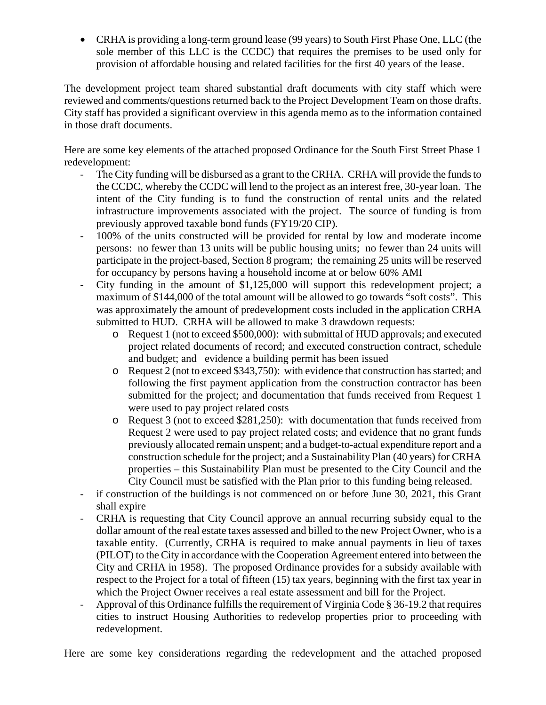• CRHA is providing a long-term ground lease (99 years) to South First Phase One, LLC (the sole member of this LLC is the CCDC) that requires the premises to be used only for provision of affordable housing and related facilities for the first 40 years of the lease.

The development project team shared substantial draft documents with city staff which were reviewed and comments/questions returned back to the Project Development Team on those drafts. City staff has provided a significant overview in this agenda memo as to the information contained in those draft documents.

Here are some key elements of the attached proposed Ordinance for the South First Street Phase 1 redevelopment:

- The City funding will be disbursed as a grant to the CRHA. CRHA will provide the funds to the CCDC, whereby the CCDC will lend to the project as an interest free, 30-year loan. The intent of the City funding is to fund the construction of rental units and the related infrastructure improvements associated with the project. The source of funding is from previously approved taxable bond funds (FY19/20 CIP).
- 100% of the units constructed will be provided for rental by low and moderate income persons: no fewer than 13 units will be public housing units; no fewer than 24 units will participate in the project-based, Section 8 program; the remaining 25 units will be reserved for occupancy by persons having a household income at or below 60% AMI
- City funding in the amount of \$1,125,000 will support this redevelopment project; a maximum of \$144,000 of the total amount will be allowed to go towards "soft costs". This was approximately the amount of predevelopment costs included in the application CRHA submitted to HUD. CRHA will be allowed to make 3 drawdown requests:
	- o Request 1 (not to exceed \$500,000): with submittal of HUD approvals; and executed project related documents of record; and executed construction contract, schedule and budget; and evidence a building permit has been issued
	- o Request 2 (not to exceed \$343,750): with evidence that construction has started; and following the first payment application from the construction contractor has been submitted for the project; and documentation that funds received from Request 1 were used to pay project related costs
	- o Request 3 (not to exceed \$281,250): with documentation that funds received from Request 2 were used to pay project related costs; and evidence that no grant funds previously allocated remain unspent; and a budget-to-actual expenditure report and a construction schedule for the project; and a Sustainability Plan (40 years) for CRHA properties – this Sustainability Plan must be presented to the City Council and the City Council must be satisfied with the Plan prior to this funding being released.
- if construction of the buildings is not commenced on or before June 30, 2021, this Grant shall expire
- CRHA is requesting that City Council approve an annual recurring subsidy equal to the dollar amount of the real estate taxes assessed and billed to the new Project Owner, who is a taxable entity. (Currently, CRHA is required to make annual payments in lieu of taxes (PILOT) to the City in accordance with the Cooperation Agreement entered into between the City and CRHA in 1958). The proposed Ordinance provides for a subsidy available with respect to the Project for a total of fifteen (15) tax years, beginning with the first tax year in which the Project Owner receives a real estate assessment and bill for the Project.
- Approval of this Ordinance fulfills the requirement of Virginia Code § 36-19.2 that requires cities to instruct Housing Authorities to redevelop properties prior to proceeding with redevelopment.

Here are some key considerations regarding the redevelopment and the attached proposed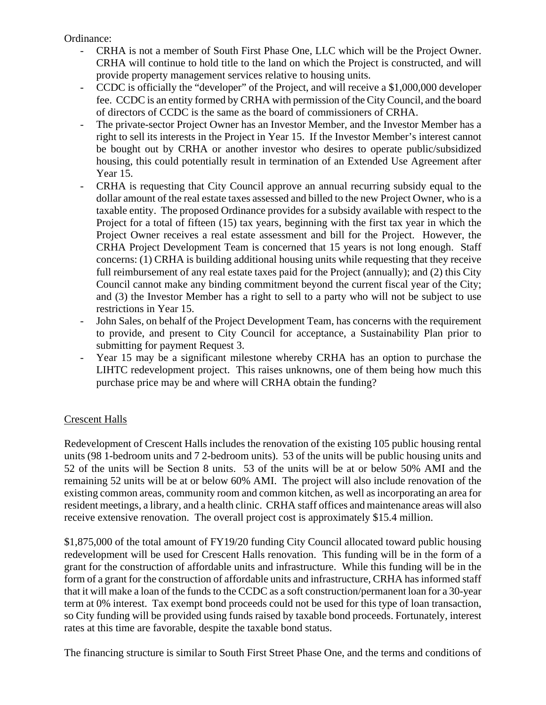Ordinance:

- CRHA is not a member of South First Phase One, LLC which will be the Project Owner. CRHA will continue to hold title to the land on which the Project is constructed, and will provide property management services relative to housing units.
- CCDC is officially the "developer" of the Project, and will receive a \$1,000,000 developer fee. CCDC is an entity formed by CRHA with permission of the City Council, and the board of directors of CCDC is the same as the board of commissioners of CRHA.
- The private-sector Project Owner has an Investor Member, and the Investor Member has a right to sell its interests in the Project in Year 15. If the Investor Member's interest cannot be bought out by CRHA or another investor who desires to operate public/subsidized housing, this could potentially result in termination of an Extended Use Agreement after Year 15.
- CRHA is requesting that City Council approve an annual recurring subsidy equal to the dollar amount of the real estate taxes assessed and billed to the new Project Owner, who is a taxable entity. The proposed Ordinance provides for a subsidy available with respect to the Project for a total of fifteen (15) tax years, beginning with the first tax year in which the Project Owner receives a real estate assessment and bill for the Project. However, the CRHA Project Development Team is concerned that 15 years is not long enough. Staff concerns: (1) CRHA is building additional housing units while requesting that they receive full reimbursement of any real estate taxes paid for the Project (annually); and (2) this City Council cannot make any binding commitment beyond the current fiscal year of the City; and (3) the Investor Member has a right to sell to a party who will not be subject to use restrictions in Year 15.
- John Sales, on behalf of the Project Development Team, has concerns with the requirement to provide, and present to City Council for acceptance, a Sustainability Plan prior to submitting for payment Request 3.
- Year 15 may be a significant milestone whereby CRHA has an option to purchase the LIHTC redevelopment project. This raises unknowns, one of them being how much this purchase price may be and where will CRHA obtain the funding?

## Crescent Halls

Redevelopment of Crescent Halls includes the renovation of the existing 105 public housing rental units (98 1-bedroom units and 7 2-bedroom units). 53 of the units will be public housing units and 52 of the units will be Section 8 units. 53 of the units will be at or below 50% AMI and the remaining 52 units will be at or below 60% AMI. The project will also include renovation of the existing common areas, community room and common kitchen, as well as incorporating an area for resident meetings, a library, and a health clinic. CRHA staff offices and maintenance areas will also receive extensive renovation. The overall project cost is approximately \$15.4 million.

\$1,875,000 of the total amount of FY19/20 funding City Council allocated toward public housing redevelopment will be used for Crescent Halls renovation. This funding will be in the form of a grant for the construction of affordable units and infrastructure. While this funding will be in the form of a grant for the construction of affordable units and infrastructure, CRHA has informed staff that it will make a loan of the funds to the CCDC as a soft construction/permanent loan for a 30-year term at 0% interest. Tax exempt bond proceeds could not be used for this type of loan transaction, so City funding will be provided using funds raised by taxable bond proceeds. Fortunately, interest rates at this time are favorable, despite the taxable bond status.

The financing structure is similar to South First Street Phase One, and the terms and conditions of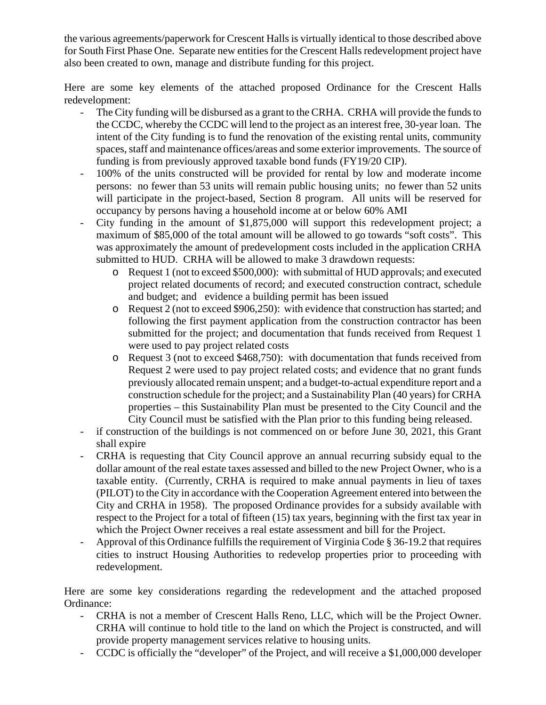the various agreements/paperwork for Crescent Halls is virtually identical to those described above for South First Phase One. Separate new entities for the Crescent Halls redevelopment project have also been created to own, manage and distribute funding for this project.

Here are some key elements of the attached proposed Ordinance for the Crescent Halls redevelopment:

- The City funding will be disbursed as a grant to the CRHA. CRHA will provide the funds to the CCDC, whereby the CCDC will lend to the project as an interest free, 30-year loan. The intent of the City funding is to fund the renovation of the existing rental units, community spaces, staff and maintenance offices/areas and some exterior improvements. The source of funding is from previously approved taxable bond funds (FY19/20 CIP).
- 100% of the units constructed will be provided for rental by low and moderate income persons: no fewer than 53 units will remain public housing units; no fewer than 52 units will participate in the project-based, Section 8 program. All units will be reserved for occupancy by persons having a household income at or below 60% AMI
- City funding in the amount of \$1,875,000 will support this redevelopment project; a maximum of \$85,000 of the total amount will be allowed to go towards "soft costs". This was approximately the amount of predevelopment costs included in the application CRHA submitted to HUD. CRHA will be allowed to make 3 drawdown requests:
	- o Request 1 (not to exceed \$500,000): with submittal of HUD approvals; and executed project related documents of record; and executed construction contract, schedule and budget; and evidence a building permit has been issued
	- o Request 2 (not to exceed \$906,250): with evidence that construction has started; and following the first payment application from the construction contractor has been submitted for the project; and documentation that funds received from Request 1 were used to pay project related costs
	- o Request 3 (not to exceed \$468,750): with documentation that funds received from Request 2 were used to pay project related costs; and evidence that no grant funds previously allocated remain unspent; and a budget-to-actual expenditure report and a construction schedule for the project; and a Sustainability Plan (40 years) for CRHA properties – this Sustainability Plan must be presented to the City Council and the City Council must be satisfied with the Plan prior to this funding being released.
- if construction of the buildings is not commenced on or before June 30, 2021, this Grant shall expire
- CRHA is requesting that City Council approve an annual recurring subsidy equal to the dollar amount of the real estate taxes assessed and billed to the new Project Owner, who is a taxable entity. (Currently, CRHA is required to make annual payments in lieu of taxes (PILOT) to the City in accordance with the Cooperation Agreement entered into between the City and CRHA in 1958). The proposed Ordinance provides for a subsidy available with respect to the Project for a total of fifteen (15) tax years, beginning with the first tax year in which the Project Owner receives a real estate assessment and bill for the Project.
- Approval of this Ordinance fulfills the requirement of Virginia Code § 36-19.2 that requires cities to instruct Housing Authorities to redevelop properties prior to proceeding with redevelopment.

Here are some key considerations regarding the redevelopment and the attached proposed Ordinance:

- CRHA is not a member of Crescent Halls Reno, LLC, which will be the Project Owner. CRHA will continue to hold title to the land on which the Project is constructed, and will provide property management services relative to housing units.
- CCDC is officially the "developer" of the Project, and will receive a \$1,000,000 developer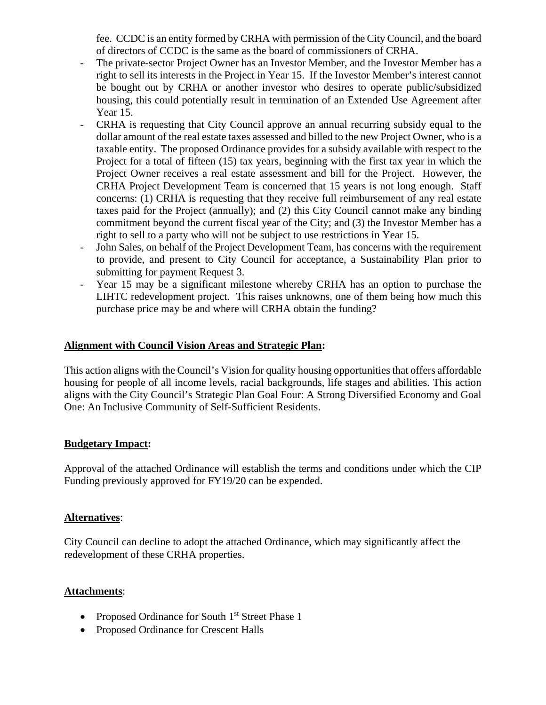fee. CCDC is an entity formed by CRHA with permission of the City Council, and the board of directors of CCDC is the same as the board of commissioners of CRHA.

- The private-sector Project Owner has an Investor Member, and the Investor Member has a right to sell its interests in the Project in Year 15. If the Investor Member's interest cannot be bought out by CRHA or another investor who desires to operate public/subsidized housing, this could potentially result in termination of an Extended Use Agreement after Year 15.
- CRHA is requesting that City Council approve an annual recurring subsidy equal to the dollar amount of the real estate taxes assessed and billed to the new Project Owner, who is a taxable entity. The proposed Ordinance provides for a subsidy available with respect to the Project for a total of fifteen (15) tax years, beginning with the first tax year in which the Project Owner receives a real estate assessment and bill for the Project. However, the CRHA Project Development Team is concerned that 15 years is not long enough. Staff concerns: (1) CRHA is requesting that they receive full reimbursement of any real estate taxes paid for the Project (annually); and (2) this City Council cannot make any binding commitment beyond the current fiscal year of the City; and (3) the Investor Member has a right to sell to a party who will not be subject to use restrictions in Year 15.
- John Sales, on behalf of the Project Development Team, has concerns with the requirement to provide, and present to City Council for acceptance, a Sustainability Plan prior to submitting for payment Request 3.
- Year 15 may be a significant milestone whereby CRHA has an option to purchase the LIHTC redevelopment project. This raises unknowns, one of them being how much this purchase price may be and where will CRHA obtain the funding?

#### **Alignment with Council Vision Areas and Strategic Plan:**

This action aligns with the Council's Vision for quality housing opportunities that offers affordable housing for people of all income levels, racial backgrounds, life stages and abilities. This action aligns with the City Council's Strategic Plan Goal Four: A Strong Diversified Economy and Goal One: An Inclusive Community of Self-Sufficient Residents.

### **Budgetary Impact:**

Approval of the attached Ordinance will establish the terms and conditions under which the CIP Funding previously approved for FY19/20 can be expended.

### **Alternatives**:

City Council can decline to adopt the attached Ordinance, which may significantly affect the redevelopment of these CRHA properties.

### **Attachments**:

- Proposed Ordinance for South 1<sup>st</sup> Street Phase 1
- Proposed Ordinance for Crescent Halls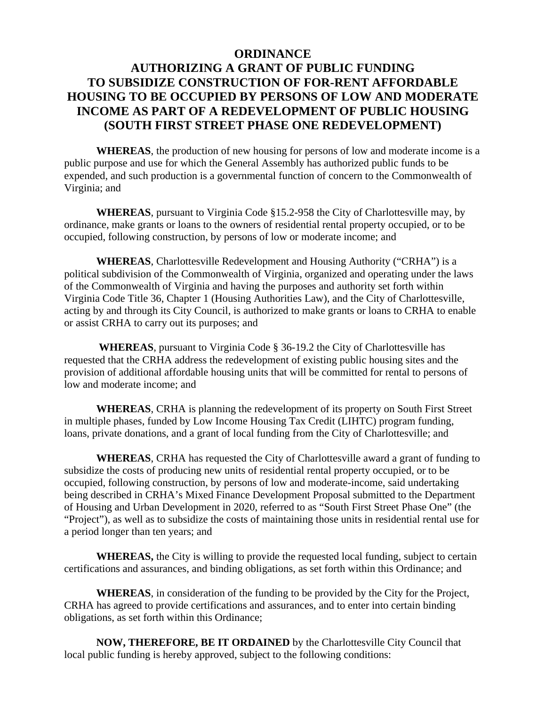### **ORDINANCE**

# **AUTHORIZING A GRANT OF PUBLIC FUNDING TO SUBSIDIZE CONSTRUCTION OF FOR-RENT AFFORDABLE HOUSING TO BE OCCUPIED BY PERSONS OF LOW AND MODERATE INCOME AS PART OF A REDEVELOPMENT OF PUBLIC HOUSING (SOUTH FIRST STREET PHASE ONE REDEVELOPMENT)**

**WHEREAS**, the production of new housing for persons of low and moderate income is a public purpose and use for which the General Assembly has authorized public funds to be expended, and such production is a governmental function of concern to the Commonwealth of Virginia; and

**WHEREAS**, pursuant to Virginia Code §15.2-958 the City of Charlottesville may, by ordinance, make grants or loans to the owners of residential rental property occupied, or to be occupied, following construction, by persons of low or moderate income; and

**WHEREAS**, Charlottesville Redevelopment and Housing Authority ("CRHA") is a political subdivision of the Commonwealth of Virginia, organized and operating under the laws of the Commonwealth of Virginia and having the purposes and authority set forth within Virginia Code Title 36, Chapter 1 (Housing Authorities Law), and the City of Charlottesville, acting by and through its City Council, is authorized to make grants or loans to CRHA to enable or assist CRHA to carry out its purposes; and

 **WHEREAS**, pursuant to Virginia Code § 36-19.2 the City of Charlottesville has requested that the CRHA address the redevelopment of existing public housing sites and the provision of additional affordable housing units that will be committed for rental to persons of low and moderate income; and

**WHEREAS**, CRHA is planning the redevelopment of its property on South First Street in multiple phases, funded by Low Income Housing Tax Credit (LIHTC) program funding, loans, private donations, and a grant of local funding from the City of Charlottesville; and

**WHEREAS**, CRHA has requested the City of Charlottesville award a grant of funding to subsidize the costs of producing new units of residential rental property occupied, or to be occupied, following construction, by persons of low and moderate-income, said undertaking being described in CRHA's Mixed Finance Development Proposal submitted to the Department of Housing and Urban Development in 2020, referred to as "South First Street Phase One" (the "Project"), as well as to subsidize the costs of maintaining those units in residential rental use for a period longer than ten years; and

**WHEREAS,** the City is willing to provide the requested local funding, subject to certain certifications and assurances, and binding obligations, as set forth within this Ordinance; and

**WHEREAS**, in consideration of the funding to be provided by the City for the Project, CRHA has agreed to provide certifications and assurances, and to enter into certain binding obligations, as set forth within this Ordinance;

**NOW, THEREFORE, BE IT ORDAINED** by the Charlottesville City Council that local public funding is hereby approved, subject to the following conditions: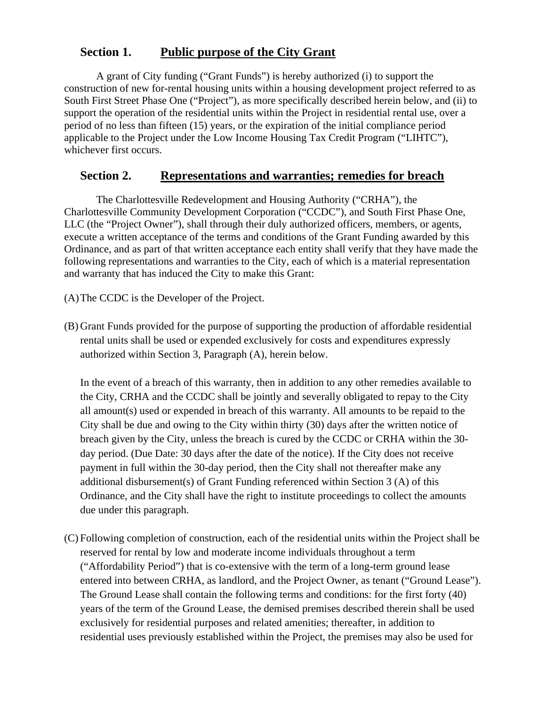## **Section 1. Public purpose of the City Grant**

A grant of City funding ("Grant Funds") is hereby authorized (i) to support the construction of new for-rental housing units within a housing development project referred to as South First Street Phase One ("Project"), as more specifically described herein below, and (ii) to support the operation of the residential units within the Project in residential rental use, over a period of no less than fifteen (15) years, or the expiration of the initial compliance period applicable to the Project under the Low Income Housing Tax Credit Program ("LIHTC"), whichever first occurs.

## **Section 2. Representations and warranties; remedies for breach**

The Charlottesville Redevelopment and Housing Authority ("CRHA"), the Charlottesville Community Development Corporation ("CCDC"), and South First Phase One, LLC (the "Project Owner"), shall through their duly authorized officers, members, or agents, execute a written acceptance of the terms and conditions of the Grant Funding awarded by this Ordinance, and as part of that written acceptance each entity shall verify that they have made the following representations and warranties to the City, each of which is a material representation and warranty that has induced the City to make this Grant:

(A)The CCDC is the Developer of the Project.

(B) Grant Funds provided for the purpose of supporting the production of affordable residential rental units shall be used or expended exclusively for costs and expenditures expressly authorized within Section 3, Paragraph (A), herein below.

In the event of a breach of this warranty, then in addition to any other remedies available to the City, CRHA and the CCDC shall be jointly and severally obligated to repay to the City all amount(s) used or expended in breach of this warranty. All amounts to be repaid to the City shall be due and owing to the City within thirty (30) days after the written notice of breach given by the City, unless the breach is cured by the CCDC or CRHA within the 30 day period. (Due Date: 30 days after the date of the notice). If the City does not receive payment in full within the 30-day period, then the City shall not thereafter make any additional disbursement(s) of Grant Funding referenced within Section 3 (A) of this Ordinance, and the City shall have the right to institute proceedings to collect the amounts due under this paragraph.

(C) Following completion of construction, each of the residential units within the Project shall be reserved for rental by low and moderate income individuals throughout a term ("Affordability Period") that is co-extensive with the term of a long-term ground lease entered into between CRHA, as landlord, and the Project Owner, as tenant ("Ground Lease"). The Ground Lease shall contain the following terms and conditions: for the first forty (40) years of the term of the Ground Lease, the demised premises described therein shall be used exclusively for residential purposes and related amenities; thereafter, in addition to residential uses previously established within the Project, the premises may also be used for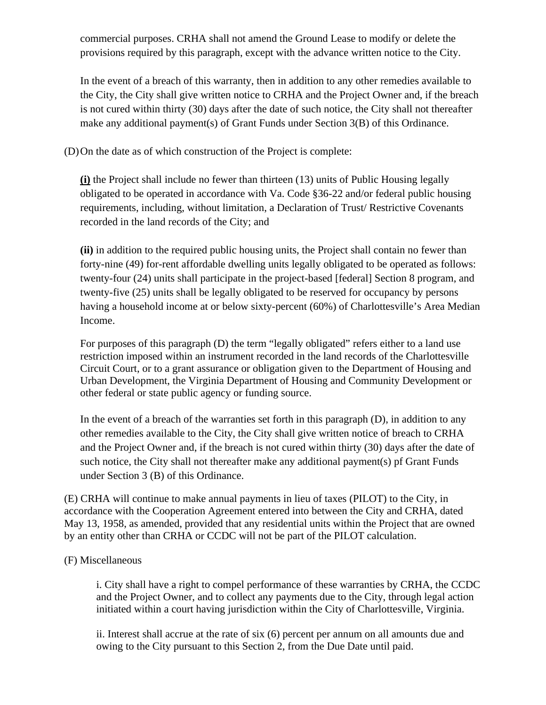commercial purposes. CRHA shall not amend the Ground Lease to modify or delete the provisions required by this paragraph, except with the advance written notice to the City.

In the event of a breach of this warranty, then in addition to any other remedies available to the City, the City shall give written notice to CRHA and the Project Owner and, if the breach is not cured within thirty (30) days after the date of such notice, the City shall not thereafter make any additional payment(s) of Grant Funds under Section 3(B) of this Ordinance.

(D)On the date as of which construction of the Project is complete:

**(i)** the Project shall include no fewer than thirteen (13) units of Public Housing legally obligated to be operated in accordance with Va. Code §36-22 and/or federal public housing requirements, including, without limitation, a Declaration of Trust/ Restrictive Covenants recorded in the land records of the City; and

**(ii)** in addition to the required public housing units, the Project shall contain no fewer than forty-nine (49) for-rent affordable dwelling units legally obligated to be operated as follows: twenty-four (24) units shall participate in the project-based [federal] Section 8 program, and twenty-five (25) units shall be legally obligated to be reserved for occupancy by persons having a household income at or below sixty-percent (60%) of Charlottesville's Area Median Income.

For purposes of this paragraph (D) the term "legally obligated" refers either to a land use restriction imposed within an instrument recorded in the land records of the Charlottesville Circuit Court, or to a grant assurance or obligation given to the Department of Housing and Urban Development, the Virginia Department of Housing and Community Development or other federal or state public agency or funding source.

In the event of a breach of the warranties set forth in this paragraph (D), in addition to any other remedies available to the City, the City shall give written notice of breach to CRHA and the Project Owner and, if the breach is not cured within thirty (30) days after the date of such notice, the City shall not thereafter make any additional payment(s) pf Grant Funds under Section 3 (B) of this Ordinance.

(E) CRHA will continue to make annual payments in lieu of taxes (PILOT) to the City, in accordance with the Cooperation Agreement entered into between the City and CRHA, dated May 13, 1958, as amended, provided that any residential units within the Project that are owned by an entity other than CRHA or CCDC will not be part of the PILOT calculation.

#### (F) Miscellaneous

i. City shall have a right to compel performance of these warranties by CRHA, the CCDC and the Project Owner, and to collect any payments due to the City, through legal action initiated within a court having jurisdiction within the City of Charlottesville, Virginia.

ii. Interest shall accrue at the rate of six (6) percent per annum on all amounts due and owing to the City pursuant to this Section 2, from the Due Date until paid.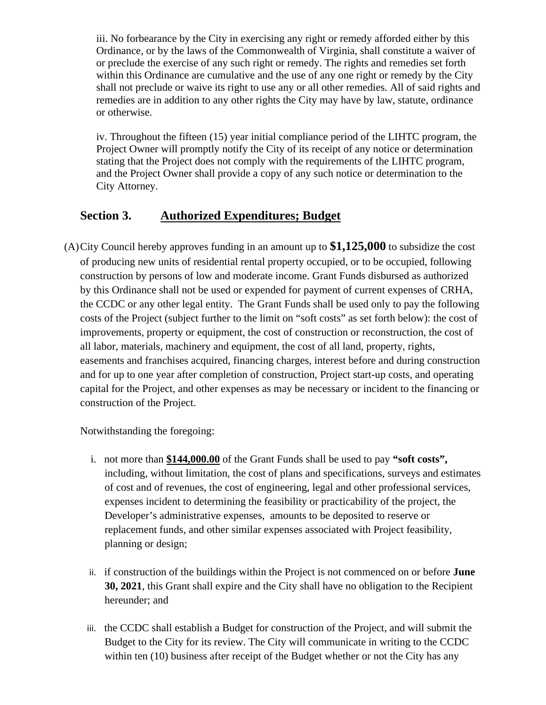iii. No forbearance by the City in exercising any right or remedy afforded either by this Ordinance, or by the laws of the Commonwealth of Virginia, shall constitute a waiver of or preclude the exercise of any such right or remedy. The rights and remedies set forth within this Ordinance are cumulative and the use of any one right or remedy by the City shall not preclude or waive its right to use any or all other remedies. All of said rights and remedies are in addition to any other rights the City may have by law, statute, ordinance or otherwise.

iv. Throughout the fifteen (15) year initial compliance period of the LIHTC program, the Project Owner will promptly notify the City of its receipt of any notice or determination stating that the Project does not comply with the requirements of the LIHTC program, and the Project Owner shall provide a copy of any such notice or determination to the City Attorney.

# **Section 3. Authorized Expenditures; Budget**

(A)City Council hereby approves funding in an amount up to **\$1,125,000** to subsidize the cost of producing new units of residential rental property occupied, or to be occupied, following construction by persons of low and moderate income. Grant Funds disbursed as authorized by this Ordinance shall not be used or expended for payment of current expenses of CRHA, the CCDC or any other legal entity. The Grant Funds shall be used only to pay the following costs of the Project (subject further to the limit on "soft costs" as set forth below): the cost of improvements, property or equipment, the cost of construction or reconstruction, the cost of all labor, materials, machinery and equipment, the cost of all land, property, rights, easements and franchises acquired, financing charges, interest before and during construction and for up to one year after completion of construction, Project start-up costs, and operating capital for the Project, and other expenses as may be necessary or incident to the financing or construction of the Project.

Notwithstanding the foregoing:

- i. not more than **\$144,000.00** of the Grant Funds shall be used to pay **"soft costs",**  including, without limitation, the cost of plans and specifications, surveys and estimates of cost and of revenues, the cost of engineering, legal and other professional services, expenses incident to determining the feasibility or practicability of the project, the Developer's administrative expenses, amounts to be deposited to reserve or replacement funds, and other similar expenses associated with Project feasibility, planning or design;
- ii. if construction of the buildings within the Project is not commenced on or before **June 30, 2021**, this Grant shall expire and the City shall have no obligation to the Recipient hereunder; and
- iii. the CCDC shall establish a Budget for construction of the Project, and will submit the Budget to the City for its review. The City will communicate in writing to the CCDC within ten (10) business after receipt of the Budget whether or not the City has any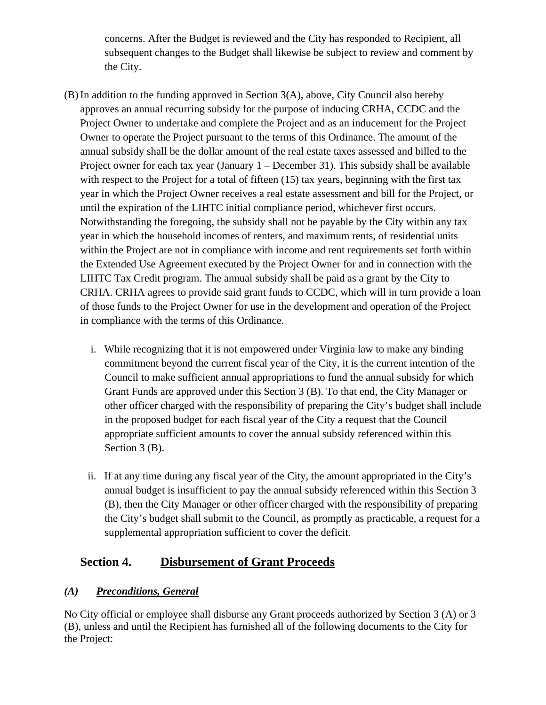concerns. After the Budget is reviewed and the City has responded to Recipient, all subsequent changes to the Budget shall likewise be subject to review and comment by the City.

- (B) In addition to the funding approved in Section 3(A), above, City Council also hereby approves an annual recurring subsidy for the purpose of inducing CRHA, CCDC and the Project Owner to undertake and complete the Project and as an inducement for the Project Owner to operate the Project pursuant to the terms of this Ordinance. The amount of the annual subsidy shall be the dollar amount of the real estate taxes assessed and billed to the Project owner for each tax year (January 1 – December 31). This subsidy shall be available with respect to the Project for a total of fifteen (15) tax years, beginning with the first tax year in which the Project Owner receives a real estate assessment and bill for the Project, or until the expiration of the LIHTC initial compliance period, whichever first occurs. Notwithstanding the foregoing, the subsidy shall not be payable by the City within any tax year in which the household incomes of renters, and maximum rents, of residential units within the Project are not in compliance with income and rent requirements set forth within the Extended Use Agreement executed by the Project Owner for and in connection with the LIHTC Tax Credit program. The annual subsidy shall be paid as a grant by the City to CRHA. CRHA agrees to provide said grant funds to CCDC, which will in turn provide a loan of those funds to the Project Owner for use in the development and operation of the Project in compliance with the terms of this Ordinance.
	- i. While recognizing that it is not empowered under Virginia law to make any binding commitment beyond the current fiscal year of the City, it is the current intention of the Council to make sufficient annual appropriations to fund the annual subsidy for which Grant Funds are approved under this Section 3 (B). To that end, the City Manager or other officer charged with the responsibility of preparing the City's budget shall include in the proposed budget for each fiscal year of the City a request that the Council appropriate sufficient amounts to cover the annual subsidy referenced within this Section 3 (B).
	- ii. If at any time during any fiscal year of the City, the amount appropriated in the City's annual budget is insufficient to pay the annual subsidy referenced within this Section 3 (B), then the City Manager or other officer charged with the responsibility of preparing the City's budget shall submit to the Council, as promptly as practicable, a request for a supplemental appropriation sufficient to cover the deficit.

# **Section 4. Disbursement of Grant Proceeds**

## *(A) Preconditions, General*

No City official or employee shall disburse any Grant proceeds authorized by Section 3 (A) or 3 (B), unless and until the Recipient has furnished all of the following documents to the City for the Project: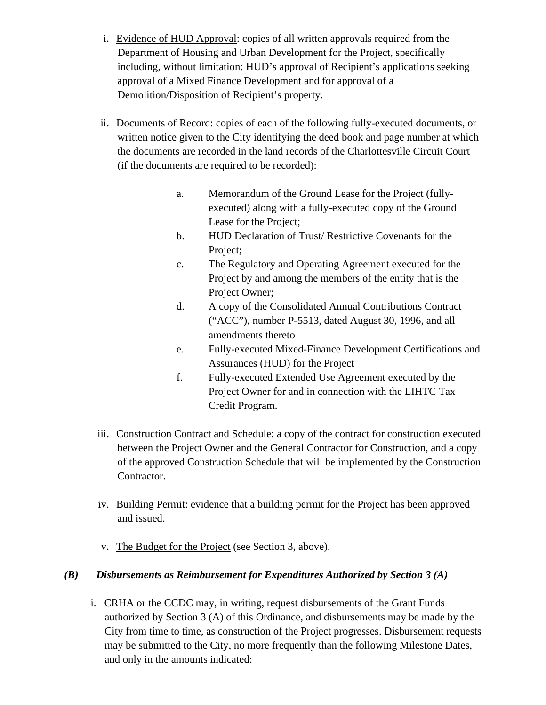- i. Evidence of HUD Approval: copies of all written approvals required from the Department of Housing and Urban Development for the Project, specifically including, without limitation: HUD's approval of Recipient's applications seeking approval of a Mixed Finance Development and for approval of a Demolition/Disposition of Recipient's property.
- ii. Documents of Record: copies of each of the following fully-executed documents, or written notice given to the City identifying the deed book and page number at which the documents are recorded in the land records of the Charlottesville Circuit Court (if the documents are required to be recorded):
	- a. Memorandum of the Ground Lease for the Project (fullyexecuted) along with a fully-executed copy of the Ground Lease for the Project;
	- b. HUD Declaration of Trust/ Restrictive Covenants for the Project;
	- c. The Regulatory and Operating Agreement executed for the Project by and among the members of the entity that is the Project Owner;
	- d. A copy of the Consolidated Annual Contributions Contract ("ACC"), number P-5513, dated August 30, 1996, and all amendments thereto
	- e. Fully-executed Mixed-Finance Development Certifications and Assurances (HUD) for the Project
	- f. Fully-executed Extended Use Agreement executed by the Project Owner for and in connection with the LIHTC Tax Credit Program.
- iii. Construction Contract and Schedule: a copy of the contract for construction executed between the Project Owner and the General Contractor for Construction, and a copy of the approved Construction Schedule that will be implemented by the Construction Contractor.
- iv. Building Permit: evidence that a building permit for the Project has been approved and issued.
- v. The Budget for the Project (see Section 3, above).

## *(B) Disbursements as Reimbursement for Expenditures Authorized by Section 3 (A)*

i. CRHA or the CCDC may, in writing, request disbursements of the Grant Funds authorized by Section 3 (A) of this Ordinance, and disbursements may be made by the City from time to time, as construction of the Project progresses. Disbursement requests may be submitted to the City, no more frequently than the following Milestone Dates, and only in the amounts indicated: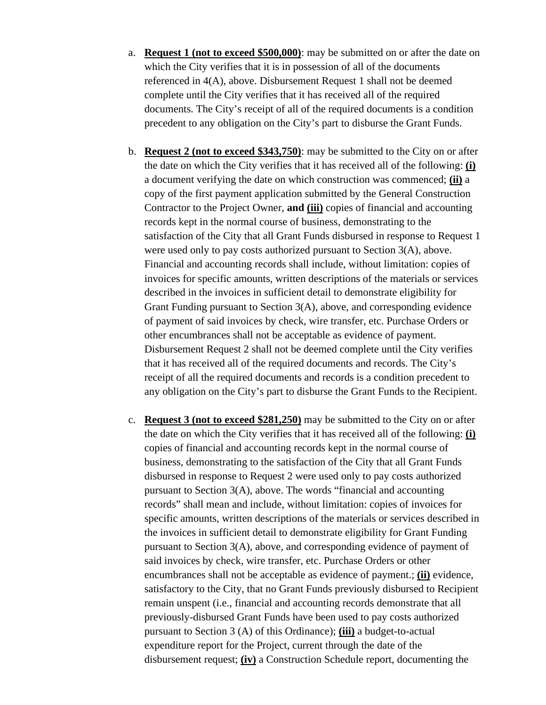- a. **Request 1 (not to exceed \$500,000)**: may be submitted on or after the date on which the City verifies that it is in possession of all of the documents referenced in 4(A), above. Disbursement Request 1 shall not be deemed complete until the City verifies that it has received all of the required documents. The City's receipt of all of the required documents is a condition precedent to any obligation on the City's part to disburse the Grant Funds.
- b. **Request 2 (not to exceed \$343,750)**: may be submitted to the City on or after the date on which the City verifies that it has received all of the following: **(i)** a document verifying the date on which construction was commenced; **(ii)** a copy of the first payment application submitted by the General Construction Contractor to the Project Owner, **and (iii)** copies of financial and accounting records kept in the normal course of business, demonstrating to the satisfaction of the City that all Grant Funds disbursed in response to Request 1 were used only to pay costs authorized pursuant to Section 3(A), above. Financial and accounting records shall include, without limitation: copies of invoices for specific amounts, written descriptions of the materials or services described in the invoices in sufficient detail to demonstrate eligibility for Grant Funding pursuant to Section 3(A), above, and corresponding evidence of payment of said invoices by check, wire transfer, etc. Purchase Orders or other encumbrances shall not be acceptable as evidence of payment. Disbursement Request 2 shall not be deemed complete until the City verifies that it has received all of the required documents and records. The City's receipt of all the required documents and records is a condition precedent to any obligation on the City's part to disburse the Grant Funds to the Recipient.
- c. **Request 3 (not to exceed \$281,250)** may be submitted to the City on or after the date on which the City verifies that it has received all of the following: **(i)** copies of financial and accounting records kept in the normal course of business, demonstrating to the satisfaction of the City that all Grant Funds disbursed in response to Request 2 were used only to pay costs authorized pursuant to Section 3(A), above. The words "financial and accounting records" shall mean and include, without limitation: copies of invoices for specific amounts, written descriptions of the materials or services described in the invoices in sufficient detail to demonstrate eligibility for Grant Funding pursuant to Section 3(A), above, and corresponding evidence of payment of said invoices by check, wire transfer, etc. Purchase Orders or other encumbrances shall not be acceptable as evidence of payment.; **(ii)** evidence, satisfactory to the City, that no Grant Funds previously disbursed to Recipient remain unspent (i.e., financial and accounting records demonstrate that all previously-disbursed Grant Funds have been used to pay costs authorized pursuant to Section 3 (A) of this Ordinance); **(iii)** a budget-to-actual expenditure report for the Project, current through the date of the disbursement request; **(iv)** a Construction Schedule report, documenting the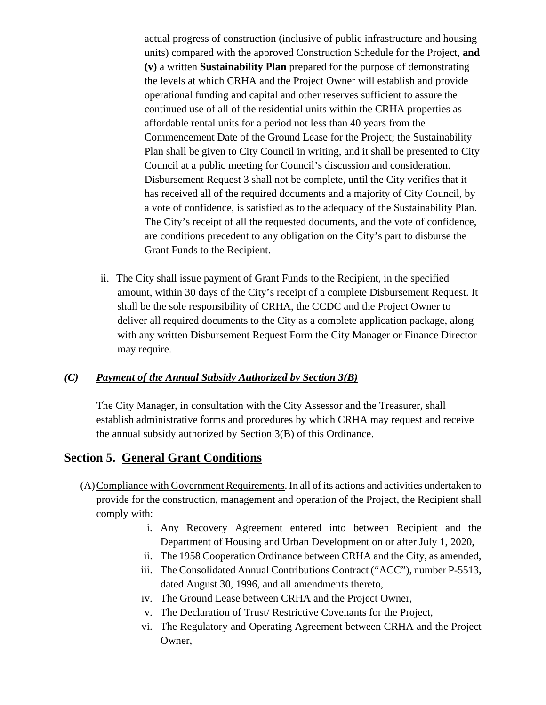actual progress of construction (inclusive of public infrastructure and housing units) compared with the approved Construction Schedule for the Project, **and (v)** a written **Sustainability Plan** prepared for the purpose of demonstrating the levels at which CRHA and the Project Owner will establish and provide operational funding and capital and other reserves sufficient to assure the continued use of all of the residential units within the CRHA properties as affordable rental units for a period not less than 40 years from the Commencement Date of the Ground Lease for the Project; the Sustainability Plan shall be given to City Council in writing, and it shall be presented to City Council at a public meeting for Council's discussion and consideration. Disbursement Request 3 shall not be complete, until the City verifies that it has received all of the required documents and a majority of City Council, by a vote of confidence, is satisfied as to the adequacy of the Sustainability Plan. The City's receipt of all the requested documents, and the vote of confidence, are conditions precedent to any obligation on the City's part to disburse the Grant Funds to the Recipient.

ii. The City shall issue payment of Grant Funds to the Recipient, in the specified amount, within 30 days of the City's receipt of a complete Disbursement Request. It shall be the sole responsibility of CRHA, the CCDC and the Project Owner to deliver all required documents to the City as a complete application package, along with any written Disbursement Request Form the City Manager or Finance Director may require.

#### *(C) Payment of the Annual Subsidy Authorized by Section 3(B)*

The City Manager, in consultation with the City Assessor and the Treasurer, shall establish administrative forms and procedures by which CRHA may request and receive the annual subsidy authorized by Section 3(B) of this Ordinance.

### **Section 5. General Grant Conditions**

- (A)Compliance with Government Requirements. In all of its actions and activities undertaken to provide for the construction, management and operation of the Project, the Recipient shall comply with:
	- i. Any Recovery Agreement entered into between Recipient and the Department of Housing and Urban Development on or after July 1, 2020,
	- ii. The 1958 Cooperation Ordinance between CRHA and the City, as amended,
	- iii. The Consolidated Annual Contributions Contract ("ACC"), number P-5513, dated August 30, 1996, and all amendments thereto,
	- iv. The Ground Lease between CRHA and the Project Owner,
	- v. The Declaration of Trust/ Restrictive Covenants for the Project,
	- vi. The Regulatory and Operating Agreement between CRHA and the Project Owner,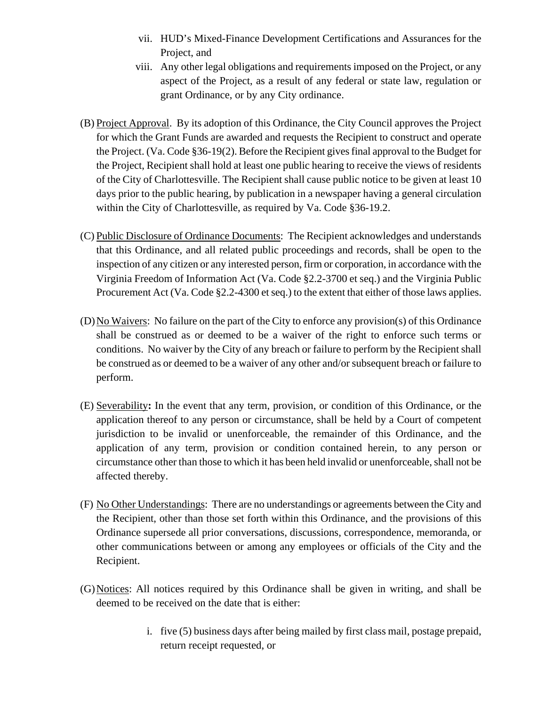- vii. HUD's Mixed-Finance Development Certifications and Assurances for the Project, and
- viii. Any other legal obligations and requirements imposed on the Project, or any aspect of the Project, as a result of any federal or state law, regulation or grant Ordinance, or by any City ordinance.
- (B) Project Approval. By its adoption of this Ordinance, the City Council approves the Project for which the Grant Funds are awarded and requests the Recipient to construct and operate the Project. (Va. Code §36-19(2). Before the Recipient gives final approval to the Budget for the Project, Recipient shall hold at least one public hearing to receive the views of residents of the City of Charlottesville. The Recipient shall cause public notice to be given at least 10 days prior to the public hearing, by publication in a newspaper having a general circulation within the City of Charlottesville, as required by Va. Code §36-19.2.
- (C) Public Disclosure of Ordinance Documents: The Recipient acknowledges and understands that this Ordinance, and all related public proceedings and records, shall be open to the inspection of any citizen or any interested person, firm or corporation, in accordance with the Virginia Freedom of Information Act (Va. Code §2.2-3700 et seq.) and the Virginia Public Procurement Act (Va. Code §2.2-4300 et seq.) to the extent that either of those laws applies.
- (D)No Waivers: No failure on the part of the City to enforce any provision(s) of this Ordinance shall be construed as or deemed to be a waiver of the right to enforce such terms or conditions. No waiver by the City of any breach or failure to perform by the Recipient shall be construed as or deemed to be a waiver of any other and/or subsequent breach or failure to perform.
- (E) Severability**:** In the event that any term, provision, or condition of this Ordinance, or the application thereof to any person or circumstance, shall be held by a Court of competent jurisdiction to be invalid or unenforceable, the remainder of this Ordinance, and the application of any term, provision or condition contained herein, to any person or circumstance other than those to which it has been held invalid or unenforceable, shall not be affected thereby.
- (F) No Other Understandings: There are no understandings or agreements between the City and the Recipient, other than those set forth within this Ordinance, and the provisions of this Ordinance supersede all prior conversations, discussions, correspondence, memoranda, or other communications between or among any employees or officials of the City and the Recipient.
- (G)Notices: All notices required by this Ordinance shall be given in writing, and shall be deemed to be received on the date that is either:
	- i. five (5) business days after being mailed by first class mail, postage prepaid, return receipt requested, or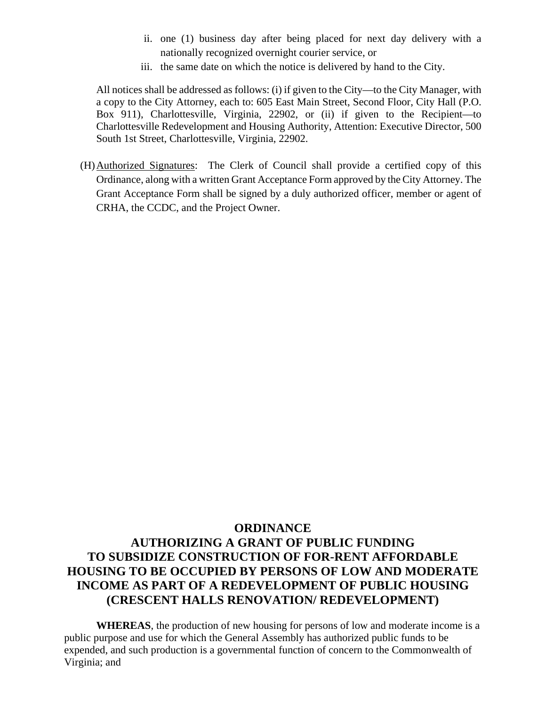- ii. one (1) business day after being placed for next day delivery with a nationally recognized overnight courier service, or
- iii. the same date on which the notice is delivered by hand to the City.

All notices shall be addressed as follows: (i) if given to the City—to the City Manager, with a copy to the City Attorney, each to: 605 East Main Street, Second Floor, City Hall (P.O. Box 911), Charlottesville, Virginia, 22902, or (ii) if given to the Recipient—to Charlottesville Redevelopment and Housing Authority, Attention: Executive Director, 500 South 1st Street, Charlottesville, Virginia, 22902.

(H)Authorized Signatures: The Clerk of Council shall provide a certified copy of this Ordinance, along with a written Grant Acceptance Form approved by the City Attorney. The Grant Acceptance Form shall be signed by a duly authorized officer, member or agent of CRHA, the CCDC, and the Project Owner.

# **ORDINANCE AUTHORIZING A GRANT OF PUBLIC FUNDING TO SUBSIDIZE CONSTRUCTION OF FOR-RENT AFFORDABLE HOUSING TO BE OCCUPIED BY PERSONS OF LOW AND MODERATE INCOME AS PART OF A REDEVELOPMENT OF PUBLIC HOUSING (CRESCENT HALLS RENOVATION/ REDEVELOPMENT)**

**WHEREAS**, the production of new housing for persons of low and moderate income is a public purpose and use for which the General Assembly has authorized public funds to be expended, and such production is a governmental function of concern to the Commonwealth of Virginia; and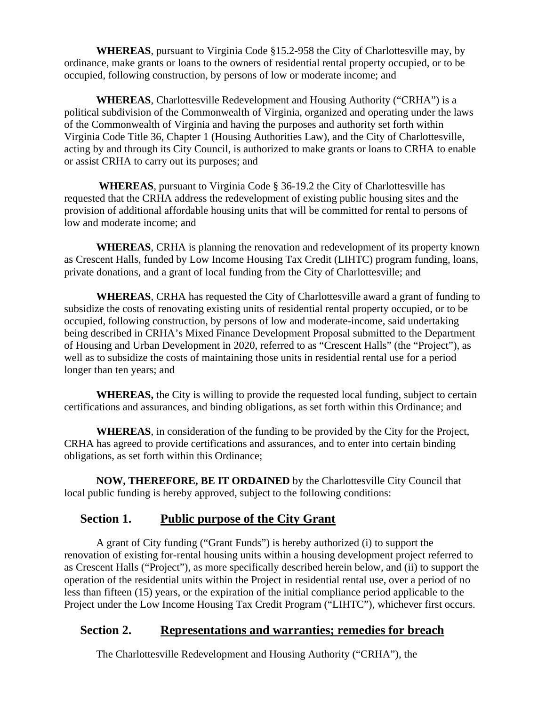**WHEREAS**, pursuant to Virginia Code §15.2-958 the City of Charlottesville may, by ordinance, make grants or loans to the owners of residential rental property occupied, or to be occupied, following construction, by persons of low or moderate income; and

**WHEREAS**, Charlottesville Redevelopment and Housing Authority ("CRHA") is a political subdivision of the Commonwealth of Virginia, organized and operating under the laws of the Commonwealth of Virginia and having the purposes and authority set forth within Virginia Code Title 36, Chapter 1 (Housing Authorities Law), and the City of Charlottesville, acting by and through its City Council, is authorized to make grants or loans to CRHA to enable or assist CRHA to carry out its purposes; and

 **WHEREAS**, pursuant to Virginia Code § 36-19.2 the City of Charlottesville has requested that the CRHA address the redevelopment of existing public housing sites and the provision of additional affordable housing units that will be committed for rental to persons of low and moderate income; and

**WHEREAS**, CRHA is planning the renovation and redevelopment of its property known as Crescent Halls, funded by Low Income Housing Tax Credit (LIHTC) program funding, loans, private donations, and a grant of local funding from the City of Charlottesville; and

**WHEREAS**, CRHA has requested the City of Charlottesville award a grant of funding to subsidize the costs of renovating existing units of residential rental property occupied, or to be occupied, following construction, by persons of low and moderate-income, said undertaking being described in CRHA's Mixed Finance Development Proposal submitted to the Department of Housing and Urban Development in 2020, referred to as "Crescent Halls" (the "Project"), as well as to subsidize the costs of maintaining those units in residential rental use for a period longer than ten years; and

**WHEREAS,** the City is willing to provide the requested local funding, subject to certain certifications and assurances, and binding obligations, as set forth within this Ordinance; and

**WHEREAS**, in consideration of the funding to be provided by the City for the Project, CRHA has agreed to provide certifications and assurances, and to enter into certain binding obligations, as set forth within this Ordinance;

**NOW, THEREFORE, BE IT ORDAINED** by the Charlottesville City Council that local public funding is hereby approved, subject to the following conditions:

## **Section 1. Public purpose of the City Grant**

A grant of City funding ("Grant Funds") is hereby authorized (i) to support the renovation of existing for-rental housing units within a housing development project referred to as Crescent Halls ("Project"), as more specifically described herein below, and (ii) to support the operation of the residential units within the Project in residential rental use, over a period of no less than fifteen (15) years, or the expiration of the initial compliance period applicable to the Project under the Low Income Housing Tax Credit Program ("LIHTC"), whichever first occurs.

## **Section 2. Representations and warranties; remedies for breach**

The Charlottesville Redevelopment and Housing Authority ("CRHA"), the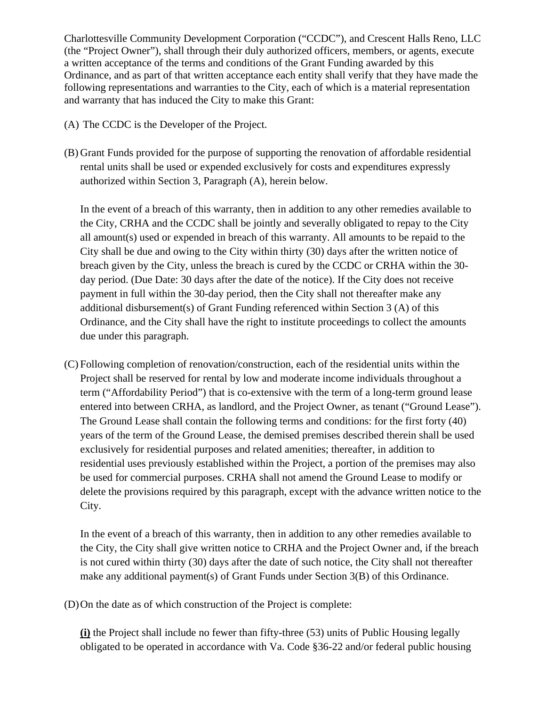Charlottesville Community Development Corporation ("CCDC"), and Crescent Halls Reno, LLC (the "Project Owner"), shall through their duly authorized officers, members, or agents, execute a written acceptance of the terms and conditions of the Grant Funding awarded by this Ordinance, and as part of that written acceptance each entity shall verify that they have made the following representations and warranties to the City, each of which is a material representation and warranty that has induced the City to make this Grant:

- (A) The CCDC is the Developer of the Project.
- (B) Grant Funds provided for the purpose of supporting the renovation of affordable residential rental units shall be used or expended exclusively for costs and expenditures expressly authorized within Section 3, Paragraph (A), herein below.

In the event of a breach of this warranty, then in addition to any other remedies available to the City, CRHA and the CCDC shall be jointly and severally obligated to repay to the City all amount(s) used or expended in breach of this warranty. All amounts to be repaid to the City shall be due and owing to the City within thirty (30) days after the written notice of breach given by the City, unless the breach is cured by the CCDC or CRHA within the 30 day period. (Due Date: 30 days after the date of the notice). If the City does not receive payment in full within the 30-day period, then the City shall not thereafter make any additional disbursement(s) of Grant Funding referenced within Section 3 (A) of this Ordinance, and the City shall have the right to institute proceedings to collect the amounts due under this paragraph.

(C) Following completion of renovation/construction, each of the residential units within the Project shall be reserved for rental by low and moderate income individuals throughout a term ("Affordability Period") that is co-extensive with the term of a long-term ground lease entered into between CRHA, as landlord, and the Project Owner, as tenant ("Ground Lease"). The Ground Lease shall contain the following terms and conditions: for the first forty (40) years of the term of the Ground Lease, the demised premises described therein shall be used exclusively for residential purposes and related amenities; thereafter, in addition to residential uses previously established within the Project, a portion of the premises may also be used for commercial purposes. CRHA shall not amend the Ground Lease to modify or delete the provisions required by this paragraph, except with the advance written notice to the City.

In the event of a breach of this warranty, then in addition to any other remedies available to the City, the City shall give written notice to CRHA and the Project Owner and, if the breach is not cured within thirty (30) days after the date of such notice, the City shall not thereafter make any additional payment(s) of Grant Funds under Section 3(B) of this Ordinance.

(D)On the date as of which construction of the Project is complete:

**(i)** the Project shall include no fewer than fifty-three (53) units of Public Housing legally obligated to be operated in accordance with Va. Code §36-22 and/or federal public housing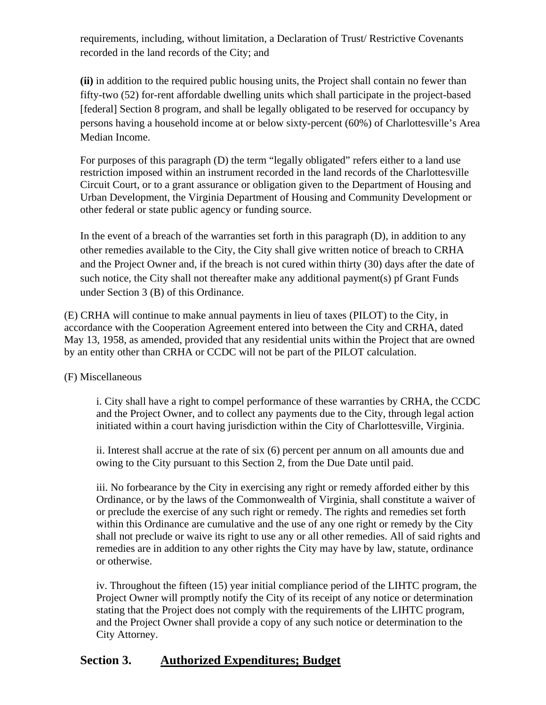requirements, including, without limitation, a Declaration of Trust/ Restrictive Covenants recorded in the land records of the City; and

**(ii)** in addition to the required public housing units, the Project shall contain no fewer than fifty-two (52) for-rent affordable dwelling units which shall participate in the project-based [federal] Section 8 program, and shall be legally obligated to be reserved for occupancy by persons having a household income at or below sixty-percent (60%) of Charlottesville's Area Median Income.

For purposes of this paragraph (D) the term "legally obligated" refers either to a land use restriction imposed within an instrument recorded in the land records of the Charlottesville Circuit Court, or to a grant assurance or obligation given to the Department of Housing and Urban Development, the Virginia Department of Housing and Community Development or other federal or state public agency or funding source.

In the event of a breach of the warranties set forth in this paragraph (D), in addition to any other remedies available to the City, the City shall give written notice of breach to CRHA and the Project Owner and, if the breach is not cured within thirty (30) days after the date of such notice, the City shall not thereafter make any additional payment(s) pf Grant Funds under Section 3 (B) of this Ordinance.

(E) CRHA will continue to make annual payments in lieu of taxes (PILOT) to the City, in accordance with the Cooperation Agreement entered into between the City and CRHA, dated May 13, 1958, as amended, provided that any residential units within the Project that are owned by an entity other than CRHA or CCDC will not be part of the PILOT calculation.

(F) Miscellaneous

i. City shall have a right to compel performance of these warranties by CRHA, the CCDC and the Project Owner, and to collect any payments due to the City, through legal action initiated within a court having jurisdiction within the City of Charlottesville, Virginia.

ii. Interest shall accrue at the rate of six (6) percent per annum on all amounts due and owing to the City pursuant to this Section 2, from the Due Date until paid.

iii. No forbearance by the City in exercising any right or remedy afforded either by this Ordinance, or by the laws of the Commonwealth of Virginia, shall constitute a waiver of or preclude the exercise of any such right or remedy. The rights and remedies set forth within this Ordinance are cumulative and the use of any one right or remedy by the City shall not preclude or waive its right to use any or all other remedies. All of said rights and remedies are in addition to any other rights the City may have by law, statute, ordinance or otherwise.

iv. Throughout the fifteen (15) year initial compliance period of the LIHTC program, the Project Owner will promptly notify the City of its receipt of any notice or determination stating that the Project does not comply with the requirements of the LIHTC program, and the Project Owner shall provide a copy of any such notice or determination to the City Attorney.

# **Section 3. Authorized Expenditures; Budget**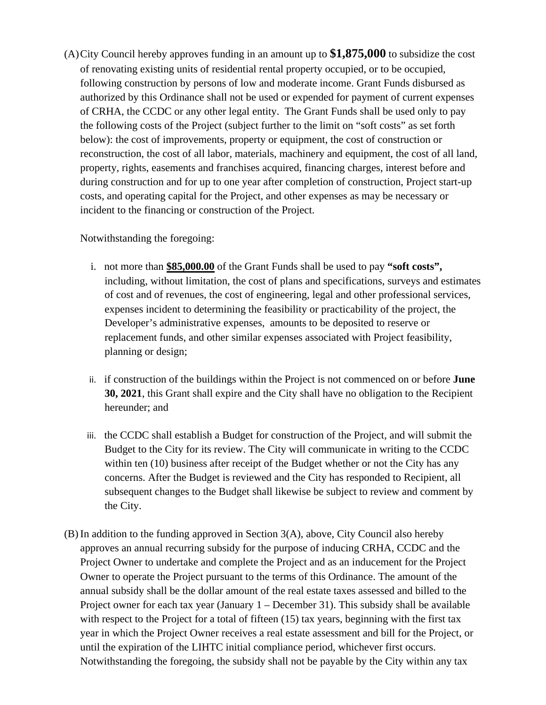(A)City Council hereby approves funding in an amount up to **\$1,875,000** to subsidize the cost of renovating existing units of residential rental property occupied, or to be occupied, following construction by persons of low and moderate income. Grant Funds disbursed as authorized by this Ordinance shall not be used or expended for payment of current expenses of CRHA, the CCDC or any other legal entity. The Grant Funds shall be used only to pay the following costs of the Project (subject further to the limit on "soft costs" as set forth below): the cost of improvements, property or equipment, the cost of construction or reconstruction, the cost of all labor, materials, machinery and equipment, the cost of all land, property, rights, easements and franchises acquired, financing charges, interest before and during construction and for up to one year after completion of construction, Project start-up costs, and operating capital for the Project, and other expenses as may be necessary or incident to the financing or construction of the Project.

Notwithstanding the foregoing:

- i. not more than **\$85,000.00** of the Grant Funds shall be used to pay **"soft costs",**  including, without limitation, the cost of plans and specifications, surveys and estimates of cost and of revenues, the cost of engineering, legal and other professional services, expenses incident to determining the feasibility or practicability of the project, the Developer's administrative expenses, amounts to be deposited to reserve or replacement funds, and other similar expenses associated with Project feasibility, planning or design;
- ii. if construction of the buildings within the Project is not commenced on or before **June 30, 2021**, this Grant shall expire and the City shall have no obligation to the Recipient hereunder; and
- iii. the CCDC shall establish a Budget for construction of the Project, and will submit the Budget to the City for its review. The City will communicate in writing to the CCDC within ten (10) business after receipt of the Budget whether or not the City has any concerns. After the Budget is reviewed and the City has responded to Recipient, all subsequent changes to the Budget shall likewise be subject to review and comment by the City.
- (B) In addition to the funding approved in Section 3(A), above, City Council also hereby approves an annual recurring subsidy for the purpose of inducing CRHA, CCDC and the Project Owner to undertake and complete the Project and as an inducement for the Project Owner to operate the Project pursuant to the terms of this Ordinance. The amount of the annual subsidy shall be the dollar amount of the real estate taxes assessed and billed to the Project owner for each tax year (January 1 – December 31). This subsidy shall be available with respect to the Project for a total of fifteen (15) tax years, beginning with the first tax year in which the Project Owner receives a real estate assessment and bill for the Project, or until the expiration of the LIHTC initial compliance period, whichever first occurs. Notwithstanding the foregoing, the subsidy shall not be payable by the City within any tax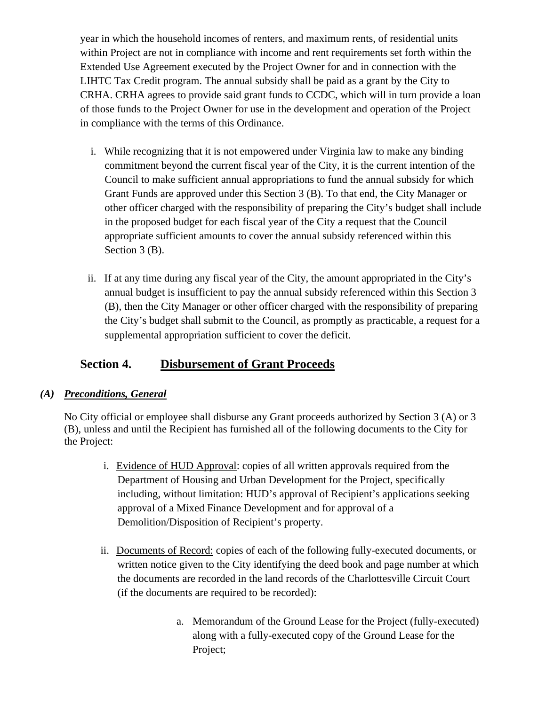year in which the household incomes of renters, and maximum rents, of residential units within Project are not in compliance with income and rent requirements set forth within the Extended Use Agreement executed by the Project Owner for and in connection with the LIHTC Tax Credit program. The annual subsidy shall be paid as a grant by the City to CRHA. CRHA agrees to provide said grant funds to CCDC, which will in turn provide a loan of those funds to the Project Owner for use in the development and operation of the Project in compliance with the terms of this Ordinance.

- i. While recognizing that it is not empowered under Virginia law to make any binding commitment beyond the current fiscal year of the City, it is the current intention of the Council to make sufficient annual appropriations to fund the annual subsidy for which Grant Funds are approved under this Section 3 (B). To that end, the City Manager or other officer charged with the responsibility of preparing the City's budget shall include in the proposed budget for each fiscal year of the City a request that the Council appropriate sufficient amounts to cover the annual subsidy referenced within this Section 3 (B).
- ii. If at any time during any fiscal year of the City, the amount appropriated in the City's annual budget is insufficient to pay the annual subsidy referenced within this Section 3 (B), then the City Manager or other officer charged with the responsibility of preparing the City's budget shall submit to the Council, as promptly as practicable, a request for a supplemental appropriation sufficient to cover the deficit.

# **Section 4. Disbursement of Grant Proceeds**

### *(A) Preconditions, General*

No City official or employee shall disburse any Grant proceeds authorized by Section 3 (A) or 3 (B), unless and until the Recipient has furnished all of the following documents to the City for the Project:

- i. Evidence of HUD Approval: copies of all written approvals required from the Department of Housing and Urban Development for the Project, specifically including, without limitation: HUD's approval of Recipient's applications seeking approval of a Mixed Finance Development and for approval of a Demolition/Disposition of Recipient's property.
- ii. Documents of Record: copies of each of the following fully-executed documents, or written notice given to the City identifying the deed book and page number at which the documents are recorded in the land records of the Charlottesville Circuit Court (if the documents are required to be recorded):
	- a. Memorandum of the Ground Lease for the Project (fully-executed) along with a fully-executed copy of the Ground Lease for the Project;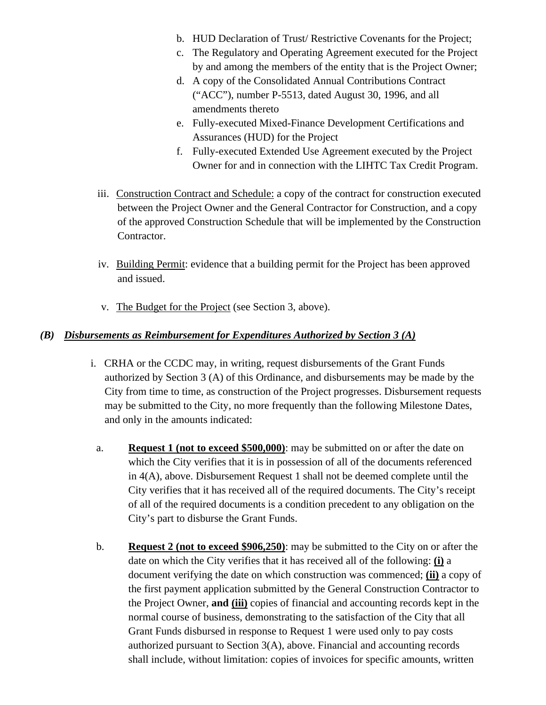- b. HUD Declaration of Trust/ Restrictive Covenants for the Project;
- c. The Regulatory and Operating Agreement executed for the Project by and among the members of the entity that is the Project Owner;
- d. A copy of the Consolidated Annual Contributions Contract ("ACC"), number P-5513, dated August 30, 1996, and all amendments thereto
- e. Fully-executed Mixed-Finance Development Certifications and Assurances (HUD) for the Project
- f. Fully-executed Extended Use Agreement executed by the Project Owner for and in connection with the LIHTC Tax Credit Program.
- iii. Construction Contract and Schedule: a copy of the contract for construction executed between the Project Owner and the General Contractor for Construction, and a copy of the approved Construction Schedule that will be implemented by the Construction Contractor.
- iv. Building Permit: evidence that a building permit for the Project has been approved and issued.
- v. The Budget for the Project (see Section 3, above).

### *(B) Disbursements as Reimbursement for Expenditures Authorized by Section 3 (A)*

- i. CRHA or the CCDC may, in writing, request disbursements of the Grant Funds authorized by Section 3 (A) of this Ordinance, and disbursements may be made by the City from time to time, as construction of the Project progresses. Disbursement requests may be submitted to the City, no more frequently than the following Milestone Dates, and only in the amounts indicated:
	- a. **Request 1 (not to exceed \$500,000)**: may be submitted on or after the date on which the City verifies that it is in possession of all of the documents referenced in 4(A), above. Disbursement Request 1 shall not be deemed complete until the City verifies that it has received all of the required documents. The City's receipt of all of the required documents is a condition precedent to any obligation on the City's part to disburse the Grant Funds.
	- b. **Request 2 (not to exceed \$906,250)**: may be submitted to the City on or after the date on which the City verifies that it has received all of the following: **(i)** a document verifying the date on which construction was commenced; **(ii)** a copy of the first payment application submitted by the General Construction Contractor to the Project Owner, **and (iii)** copies of financial and accounting records kept in the normal course of business, demonstrating to the satisfaction of the City that all Grant Funds disbursed in response to Request 1 were used only to pay costs authorized pursuant to Section 3(A), above. Financial and accounting records shall include, without limitation: copies of invoices for specific amounts, written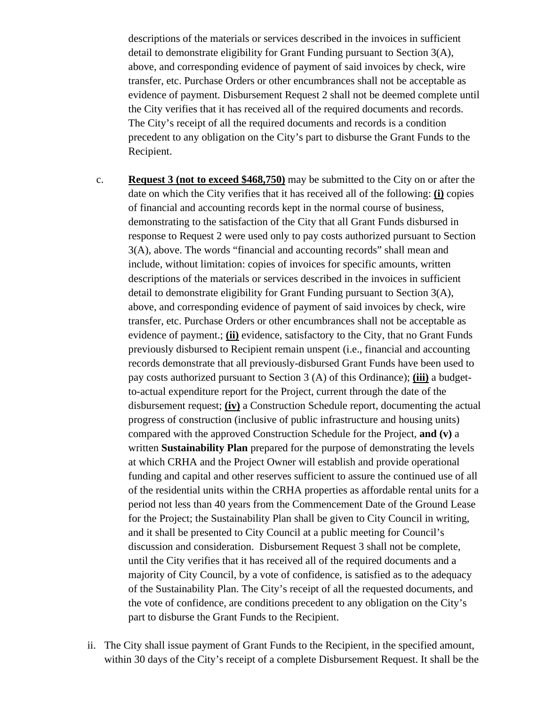descriptions of the materials or services described in the invoices in sufficient detail to demonstrate eligibility for Grant Funding pursuant to Section 3(A), above, and corresponding evidence of payment of said invoices by check, wire transfer, etc. Purchase Orders or other encumbrances shall not be acceptable as evidence of payment. Disbursement Request 2 shall not be deemed complete until the City verifies that it has received all of the required documents and records. The City's receipt of all the required documents and records is a condition precedent to any obligation on the City's part to disburse the Grant Funds to the Recipient.

- c. **Request 3 (not to exceed \$468,750)** may be submitted to the City on or after the date on which the City verifies that it has received all of the following: **(i)** copies of financial and accounting records kept in the normal course of business, demonstrating to the satisfaction of the City that all Grant Funds disbursed in response to Request 2 were used only to pay costs authorized pursuant to Section 3(A), above. The words "financial and accounting records" shall mean and include, without limitation: copies of invoices for specific amounts, written descriptions of the materials or services described in the invoices in sufficient detail to demonstrate eligibility for Grant Funding pursuant to Section 3(A), above, and corresponding evidence of payment of said invoices by check, wire transfer, etc. Purchase Orders or other encumbrances shall not be acceptable as evidence of payment.; **(ii)** evidence, satisfactory to the City, that no Grant Funds previously disbursed to Recipient remain unspent (i.e., financial and accounting records demonstrate that all previously-disbursed Grant Funds have been used to pay costs authorized pursuant to Section 3 (A) of this Ordinance); **(iii)** a budgetto-actual expenditure report for the Project, current through the date of the disbursement request; **(iv)** a Construction Schedule report, documenting the actual progress of construction (inclusive of public infrastructure and housing units) compared with the approved Construction Schedule for the Project, **and (v)** a written **Sustainability Plan** prepared for the purpose of demonstrating the levels at which CRHA and the Project Owner will establish and provide operational funding and capital and other reserves sufficient to assure the continued use of all of the residential units within the CRHA properties as affordable rental units for a period not less than 40 years from the Commencement Date of the Ground Lease for the Project; the Sustainability Plan shall be given to City Council in writing, and it shall be presented to City Council at a public meeting for Council's discussion and consideration. Disbursement Request 3 shall not be complete, until the City verifies that it has received all of the required documents and a majority of City Council, by a vote of confidence, is satisfied as to the adequacy of the Sustainability Plan. The City's receipt of all the requested documents, and the vote of confidence, are conditions precedent to any obligation on the City's part to disburse the Grant Funds to the Recipient.
- ii. The City shall issue payment of Grant Funds to the Recipient, in the specified amount, within 30 days of the City's receipt of a complete Disbursement Request. It shall be the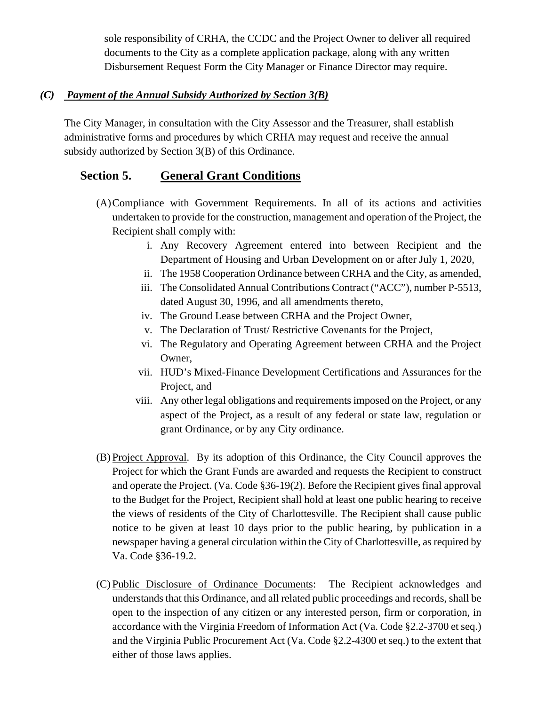sole responsibility of CRHA, the CCDC and the Project Owner to deliver all required documents to the City as a complete application package, along with any written Disbursement Request Form the City Manager or Finance Director may require.

## *(C) Payment of the Annual Subsidy Authorized by Section 3(B)*

The City Manager, in consultation with the City Assessor and the Treasurer, shall establish administrative forms and procedures by which CRHA may request and receive the annual subsidy authorized by Section 3(B) of this Ordinance.

## **Section 5. General Grant Conditions**

- (A)Compliance with Government Requirements. In all of its actions and activities undertaken to provide for the construction, management and operation of the Project, the Recipient shall comply with:
	- i. Any Recovery Agreement entered into between Recipient and the Department of Housing and Urban Development on or after July 1, 2020,
	- ii. The 1958 Cooperation Ordinance between CRHA and the City, as amended,
	- iii. The Consolidated Annual Contributions Contract ("ACC"), number P-5513, dated August 30, 1996, and all amendments thereto,
	- iv. The Ground Lease between CRHA and the Project Owner,
	- v. The Declaration of Trust/ Restrictive Covenants for the Project,
	- vi. The Regulatory and Operating Agreement between CRHA and the Project Owner,
	- vii. HUD's Mixed-Finance Development Certifications and Assurances for the Project, and
	- viii. Any other legal obligations and requirements imposed on the Project, or any aspect of the Project, as a result of any federal or state law, regulation or grant Ordinance, or by any City ordinance.
- (B) Project Approval. By its adoption of this Ordinance, the City Council approves the Project for which the Grant Funds are awarded and requests the Recipient to construct and operate the Project. (Va. Code §36-19(2). Before the Recipient gives final approval to the Budget for the Project, Recipient shall hold at least one public hearing to receive the views of residents of the City of Charlottesville. The Recipient shall cause public notice to be given at least 10 days prior to the public hearing, by publication in a newspaper having a general circulation within the City of Charlottesville, as required by Va. Code §36-19.2.
- (C) Public Disclosure of Ordinance Documents: The Recipient acknowledges and understands that this Ordinance, and all related public proceedings and records, shall be open to the inspection of any citizen or any interested person, firm or corporation, in accordance with the Virginia Freedom of Information Act (Va. Code §2.2-3700 et seq.) and the Virginia Public Procurement Act (Va. Code §2.2-4300 et seq.) to the extent that either of those laws applies.